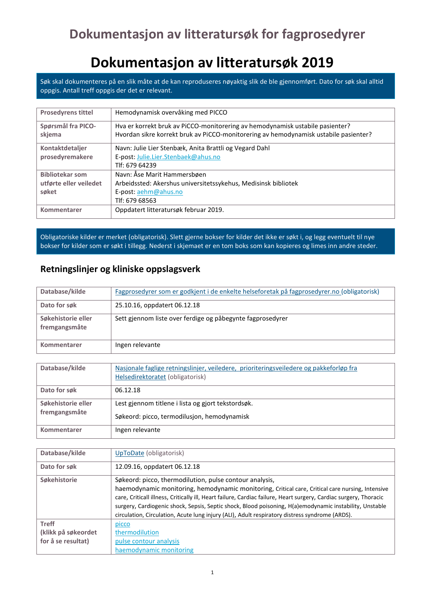# **Dokumentasjon av litteratursøk 2019**

Søk skal dokumenteres på en slik måte at de kan reproduseres nøyaktig slik de ble gjennomført. Dato for søk skal alltid oppgis. Antall treff oppgis der det er relevant.

| <b>Prosedyrens tittel</b> | Hemodynamisk overvåking med PICCO                                                    |
|---------------------------|--------------------------------------------------------------------------------------|
|                           |                                                                                      |
| Spørsmål fra PICO-        | Hva er korrekt bruk av PiCCO-monitorering av hemodynamisk ustabile pasienter?        |
| skjema                    | Hvordan sikre korrekt bruk av PiCCO-monitorering av hemodynamisk ustabile pasienter? |
| Kontaktdetaljer           | Navn: Julie Lier Stenbæk, Anita Brattli og Vegard Dahl                               |
| prosedyremakere           | E-post: Julie.Lier.Stenbaek@ahus.no                                                  |
|                           | Tlf: 679 64239                                                                       |
| <b>Bibliotekar som</b>    | Navn: Åse Marit Hammersbøen                                                          |
| utførte eller veiledet    | Arbeidssted: Akershus universitetssykehus, Medisinsk bibliotek                       |
| søket                     | E-post: aehm@ahus.no                                                                 |
|                           | Tlf: 679 68563                                                                       |
| Kommentarer               | Oppdatert litteratursøk februar 2019.                                                |

Obligatoriske kilder er merket (obligatorisk). Slett gjerne bokser for kilder det ikke er søkt i, og legg eventuelt til nye bokser for kilder som er søkt i tillegg. Nederst i skjemaet er en tom boks som kan kopieres og limes inn andre steder.

#### **Retningslinjer og kliniske oppslagsverk**

| Database/kilde                      | Fagprosedyrer som er godkjent i de enkelte helseforetak på fagprosedyrer.no (obligatorisk) |
|-------------------------------------|--------------------------------------------------------------------------------------------|
| Dato for søk                        | 25.10.16, oppdatert 06.12.18                                                               |
| Søkehistorie eller<br>fremgangsmåte | Sett gjennom liste over ferdige og påbegynte fagprosedyrer                                 |
| Kommentarer                         | Ingen relevante                                                                            |

| Database/kilde                      | Nasjonale faglige retningslinjer, veiledere, prioriteringsveiledere og pakkeforløp fra |
|-------------------------------------|----------------------------------------------------------------------------------------|
|                                     | Helsedirektoratet (obligatorisk)                                                       |
| Dato for søk                        | 06.12.18                                                                               |
| Søkehistorie eller<br>fremgangsmåte | Lest gjennom titlene i lista og gjort tekstordsøk.                                     |
|                                     | Søkeord: picco, termodilusjon, hemodynamisk                                            |
| Kommentarer                         | Ingen relevante                                                                        |

| Database/kilde      | UpToDate (obligatorisk)                                                                                           |
|---------------------|-------------------------------------------------------------------------------------------------------------------|
| Dato for søk        | 12.09.16, oppdatert 06.12.18                                                                                      |
| Søkehistorie        | Søkeord: picco, thermodilution, pulse contour analysis,                                                           |
|                     | haemodynamic monitoring, hemodynamic monitoring, Critical care, Critical care nursing, Intensive                  |
|                     | care, Criticall illness, Critically ill, Heart failure, Cardiac failure, Heart surgery, Cardiac surgery, Thoracic |
|                     | surgery, Cardiogenic shock, Sepsis, Septic shock, Blood poisoning, H(a)emodynamic instability, Unstable           |
|                     | circulation, Circulation, Acute lung injury (ALI), Adult respiratory distress syndrome (ARDS).                    |
| <b>Treff</b>        | picco                                                                                                             |
| (klikk på søkeordet | thermodilution                                                                                                    |
| for å se resultat)  | pulse contour analysis                                                                                            |
|                     | haemodynamic monitoring                                                                                           |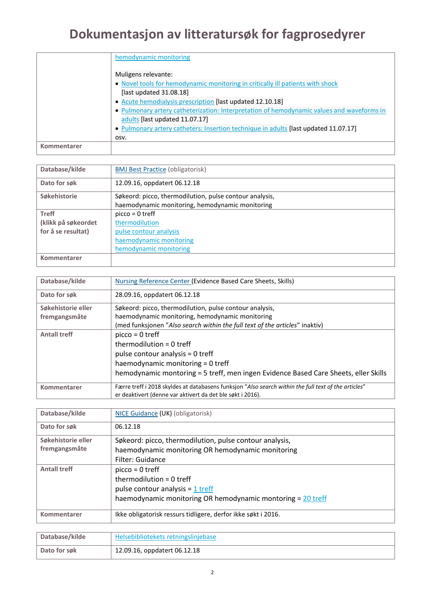|             | hemodynamic monitoring                                                                    |
|-------------|-------------------------------------------------------------------------------------------|
|             | Muligens relevante:                                                                       |
|             | • Novel tools for hemodynamic monitoring in critically ill patients with shock            |
|             | [last updated 31.08.18]                                                                   |
|             | • Acute hemodialysis prescription [last updated 12.10.18]                                 |
|             | • Pulmonary artery catheterization: Interpretation of hemodynamic values and waveforms in |
|             | adults [last updated 11.07.17]                                                            |
|             | . Pulmonary artery catheters: Insertion technique in adults [last updated 11.07.17]       |
|             | OSV.                                                                                      |
| Kommentarer |                                                                                           |
|             |                                                                                           |

| Database/kilde      | <b>BMJ Best Practice (obligatorisk)</b>                 |
|---------------------|---------------------------------------------------------|
|                     |                                                         |
| Dato for søk        | 12.09.16, oppdatert 06.12.18                            |
|                     |                                                         |
| Søkehistorie        | Søkeord: picco, thermodilution, pulse contour analysis, |
|                     |                                                         |
|                     | haemodynamic monitoring, hemodynamic monitoring         |
| <b>Treff</b>        | $picco = 0$ treff                                       |
|                     |                                                         |
| (klikk på søkeordet | thermodilution                                          |
| for å se resultat)  | pulse contour analysis                                  |
|                     |                                                         |
|                     | haemodynamic monitoring                                 |
|                     |                                                         |
|                     | hemodynamic monitoring                                  |
| Kommentarer         |                                                         |
|                     |                                                         |

| Database/kilde      | <b>Nursing Reference Center (Evidence Based Care Sheets, Skills)</b>                                 |
|---------------------|------------------------------------------------------------------------------------------------------|
| Dato for søk        | 28.09.16, oppdatert 06.12.18                                                                         |
| Søkehistorie eller  | Søkeord: picco, thermodilution, pulse contour analysis,                                              |
| fremgangsmåte       | haemodynamic monitoring, hemodynamic monitoring                                                      |
|                     | (med funksjonen "Also search within the full text of the articles" inaktiv)                          |
| <b>Antall treff</b> | $picco = 0$ treff                                                                                    |
|                     | thermodilution = $0$ treff                                                                           |
|                     | pulse contour analysis = 0 treff                                                                     |
|                     | haemodynamic monitoring = 0 treff                                                                    |
|                     | hemodynamic montoring = 5 treff, men ingen Evidence Based Care Sheets, eller Skills                  |
| Kommentarer         | Færre treff i 2018 skyldes at databasens funksjon "Also search within the full text of the articles" |
|                     | er deaktivert (denne var aktivert da det ble søkt i 2016).                                           |

| NICE Guidance (UK) (obligatorisk)                             |
|---------------------------------------------------------------|
| 06.12.18                                                      |
| Søkeord: picco, thermodilution, pulse contour analysis,       |
| haemodynamic monitoring OR hemodynamic monitoring             |
| Filter: Guidance                                              |
| $picco = 0$ treff                                             |
| thermodilution = $0$ treff                                    |
| pulse contour analysis = $1$ treff                            |
| haemodynamic monitoring OR hemodynamic montoring = 20 treff   |
| Ikke obligatorisk ressurs tidligere, derfor ikke søkt i 2016. |
|                                                               |

| 'Database/kilde | Helsebibliotekets retningslinjebase |
|-----------------|-------------------------------------|
| Dato for søk    | 12.09.16, oppdatert 06.12.18        |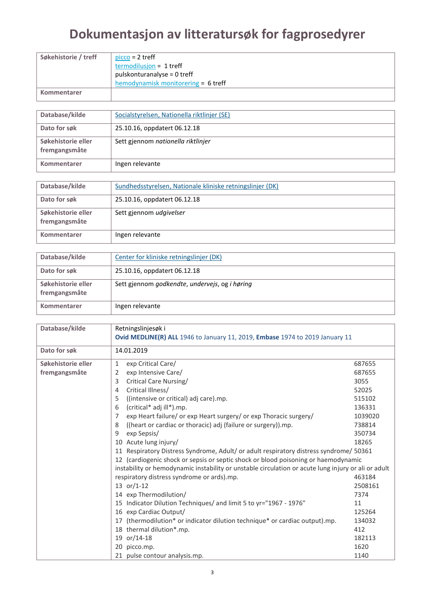| Søkehistorie / treff | $picco = 2$ treff                   |
|----------------------|-------------------------------------|
|                      | termodilusjon = 1 treff             |
|                      | pulskonturanalyse = 0 treff         |
|                      | hemodynamisk monitorering = 6 treff |
| Kommentarer          |                                     |

| Database/kilde                      | Socialstyrelsen, Nationella riktlinjer (SE) |
|-------------------------------------|---------------------------------------------|
| Dato for søk                        | 25.10.16, oppdatert 06.12.18                |
| Søkehistorie eller<br>fremgangsmåte | Sett gjennom nationella riktlinjer          |
| Kommentarer                         | Ingen relevante                             |

| Database/kilde                      | Sundhedsstyrelsen, Nationale kliniske retningslinjer (DK) |
|-------------------------------------|-----------------------------------------------------------|
| Dato for søk                        | 25.10.16, oppdatert 06.12.18                              |
| Søkehistorie eller<br>fremgangsmåte | Sett gjennom udgivelser                                   |
| Kommentarer                         | Ingen relevante                                           |

| Database/kilde                      | Center for kliniske retningslinjer (DK)        |
|-------------------------------------|------------------------------------------------|
| Dato for søk                        | 25.10.16, oppdatert 06.12.18                   |
| Søkehistorie eller<br>fremgangsmåte | Sett gjennom godkendte, undervejs, og i høring |
| Kommentarer                         | Ingen relevante                                |

| Database/kilde                      | Retningslinjesøk i<br>Ovid MEDLINE(R) ALL 1946 to January 11, 2019, Embase 1974 to 2019 January 11                                                                                                                                                                                                                                                                                                                                                                                                                                                                                                                                                                                                                                                                                                                                                                                                                                                                                                                                                     |                                                                                                                                                                                       |  |
|-------------------------------------|--------------------------------------------------------------------------------------------------------------------------------------------------------------------------------------------------------------------------------------------------------------------------------------------------------------------------------------------------------------------------------------------------------------------------------------------------------------------------------------------------------------------------------------------------------------------------------------------------------------------------------------------------------------------------------------------------------------------------------------------------------------------------------------------------------------------------------------------------------------------------------------------------------------------------------------------------------------------------------------------------------------------------------------------------------|---------------------------------------------------------------------------------------------------------------------------------------------------------------------------------------|--|
| Dato for søk                        | 14.01.2019                                                                                                                                                                                                                                                                                                                                                                                                                                                                                                                                                                                                                                                                                                                                                                                                                                                                                                                                                                                                                                             |                                                                                                                                                                                       |  |
| Søkehistorie eller<br>fremgangsmåte | exp Critical Care/<br>1<br>exp Intensive Care/<br>2<br>Critical Care Nursing/<br>3<br>Critical Illness/<br>4<br>((intensive or critical) adj care).mp.<br>5<br>(critical* adj ill*).mp.<br>6<br>exp Heart failure/ or exp Heart surgery/ or exp Thoracic surgery/<br>7<br>((heart or cardiac or thoracic) adj (failure or surgery)).mp.<br>8<br>exp Sepsis/<br>9<br>10 Acute lung injury/<br>11 Respiratory Distress Syndrome, Adult/ or adult respiratory distress syndrome/ 50361<br>12 (cardiogenic shock or sepsis or septic shock or blood poisoning or haemodynamic<br>instability or hemodynamic instability or unstable circulation or acute lung injury or ali or adult<br>respiratory distress syndrome or ards).mp.<br>13 or/1-12<br>14 exp Thermodilution/<br>15 Indicator Dilution Techniques/ and limit 5 to yr="1967 - 1976"<br>16 exp Cardiac Output/<br>(thermodilution* or indicator dilution technique* or cardiac output).mp.<br>17<br>18 thermal dilution*.mp.<br>19 or/14-18<br>20<br>picco.mp.<br>21 pulse contour analysis.mp. | 687655<br>687655<br>3055<br>52025<br>515102<br>136331<br>1039020<br>738814<br>350734<br>18265<br>463184<br>2508161<br>7374<br>11<br>125264<br>134032<br>412<br>182113<br>1620<br>1140 |  |
|                                     |                                                                                                                                                                                                                                                                                                                                                                                                                                                                                                                                                                                                                                                                                                                                                                                                                                                                                                                                                                                                                                                        |                                                                                                                                                                                       |  |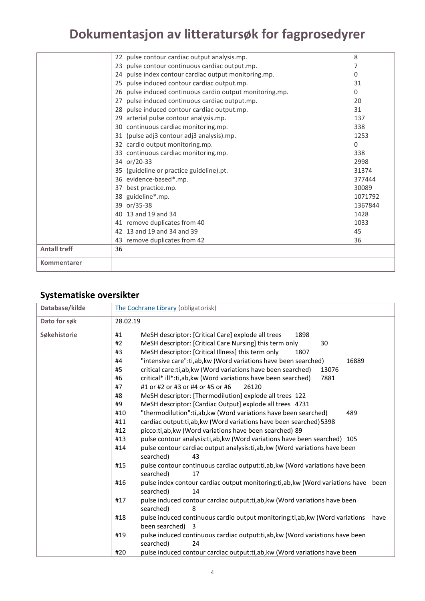| Kommentarer         |                                                             |          |
|---------------------|-------------------------------------------------------------|----------|
| <b>Antall treff</b> | 36                                                          |          |
|                     | 43 remove duplicates from 42                                | 36       |
|                     | 42 13 and 19 and 34 and 39                                  | 45       |
|                     | 41 remove duplicates from 40                                | 1033     |
|                     | 40 13 and 19 and 34                                         | 1428     |
|                     | 39 or/35-38                                                 | 1367844  |
|                     | 38 guideline*.mp.                                           | 1071792  |
|                     | best practice.mp.<br>37                                     | 30089    |
|                     | 36 evidence-based*.mp.                                      | 377444   |
|                     | 35 (guideline or practice guideline).pt.                    | 31374    |
|                     | 34 or/20-33                                                 | 2998     |
|                     | 33 continuous cardiac monitoring.mp.                        | 338      |
|                     | 32 cardio output monitoring.mp.                             | $\Omega$ |
|                     | 31 (pulse adj3 contour adj3 analysis).mp.                   | 1253     |
|                     | 30 continuous cardiac monitoring.mp.                        | 338      |
|                     | 29 arterial pulse contour analysis.mp.                      | 137      |
|                     | 28 pulse induced contour cardiac output.mp.                 | 31       |
|                     | pulse induced continuous cardiac output.mp.<br>27           | 20       |
|                     | pulse induced continuous cardio output monitoring.mp.<br>26 | 0        |
|                     | 25 pulse induced contour cardiac output.mp.                 | 31       |
|                     | 24 pulse index contour cardiac output monitoring.mp.        | 0        |
|                     | 23 pulse contour continuous cardiac output.mp.              |          |
|                     | 22 pulse contour cardiac output analysis.mp.                | 8        |

#### **Systematiske oversikter**

| Database/kilde | The Cochrane Library (obligatorisk)                                                         |
|----------------|---------------------------------------------------------------------------------------------|
| Dato for søk   | 28.02.19                                                                                    |
| Søkehistorie   | 1898<br>#1<br>MeSH descriptor: [Critical Care] explode all trees                            |
|                | #2<br>MeSH descriptor: [Critical Care Nursing] this term only<br>30                         |
|                | #3<br>MeSH descriptor: [Critical Illness] this term only<br>1807                            |
|                | "intensive care":ti,ab,kw (Word variations have been searched)<br>#4<br>16889               |
|                | #5<br>critical care:ti, ab, kw (Word variations have been searched)<br>13076                |
|                | #6<br>critical* ill*:ti,ab, kw (Word variations have been searched)<br>7881                 |
|                | #7<br>#1 or #2 or #3 or #4 or #5 or #6<br>26120                                             |
|                | #8<br>MeSH descriptor: [Thermodilution] explode all trees 122                               |
|                | #9<br>MeSH descriptor: [Cardiac Output] explode all trees 4731                              |
|                | #10<br>"thermodilution":ti,ab,kw (Word variations have been searched)<br>489                |
|                | #11<br>cardiac output: ti, ab, kw (Word variations have been searched) 5398                 |
|                | #12<br>picco:ti,ab, kw (Word variations have been searched) 89                              |
|                | pulse contour analysis: ti, ab, kw (Word variations have been searched) 105<br>#13          |
|                | pulse contour cardiac output analysis: ti, ab, kw (Word variations have been<br>#14         |
|                | searched)<br>43                                                                             |
|                | #15<br>pulse contour continuous cardiac output: ti, ab, kw (Word variations have been       |
|                | searched)<br>17                                                                             |
|                | #16<br>pulse index contour cardiac output monitoring:ti,ab, kw (Word variations have been   |
|                | searched)<br>14                                                                             |
|                | #17<br>pulse induced contour cardiac output:ti,ab, kw (Word variations have been            |
|                | searched)<br>8                                                                              |
|                | #18<br>pulse induced continuous cardio output monitoring:ti,ab, kw (Word variations<br>have |
|                | been searched) 3                                                                            |
|                | #19<br>pulse induced continuous cardiac output:ti,ab, kw (Word variations have been         |
|                | searched)<br>24                                                                             |
|                | #20<br>pulse induced contour cardiac output: ti, ab, kw (Word variations have been          |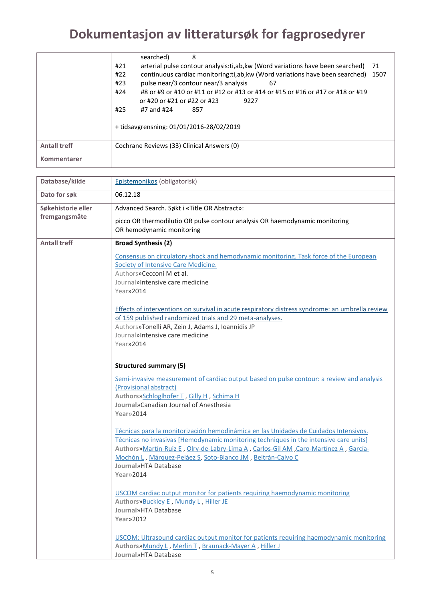|                     | searched)<br>8                                                                                                                                                                                                                                                                                                                                                                       |
|---------------------|--------------------------------------------------------------------------------------------------------------------------------------------------------------------------------------------------------------------------------------------------------------------------------------------------------------------------------------------------------------------------------------|
|                     | arterial pulse contour analysis: ti, ab, kw (Word variations have been searched)<br>#21<br>-71<br>continuous cardiac monitoring: ti, ab, kw (Word variations have been searched)<br>#22<br>1507<br>pulse near/3 contour near/3 analysis<br>#23<br>67<br>#24<br>#8 or #9 or #10 or #11 or #12 or #13 or #14 or #15 or #16 or #17 or #18 or #19<br>or #20 or #21 or #22 or #23<br>9227 |
|                     | #25<br>#7 and #24<br>857                                                                                                                                                                                                                                                                                                                                                             |
|                     | + tidsavgrensning: 01/01/2016-28/02/2019                                                                                                                                                                                                                                                                                                                                             |
| <b>Antall treff</b> | Cochrane Reviews (33) Clinical Answers (0)                                                                                                                                                                                                                                                                                                                                           |
| Kommentarer         |                                                                                                                                                                                                                                                                                                                                                                                      |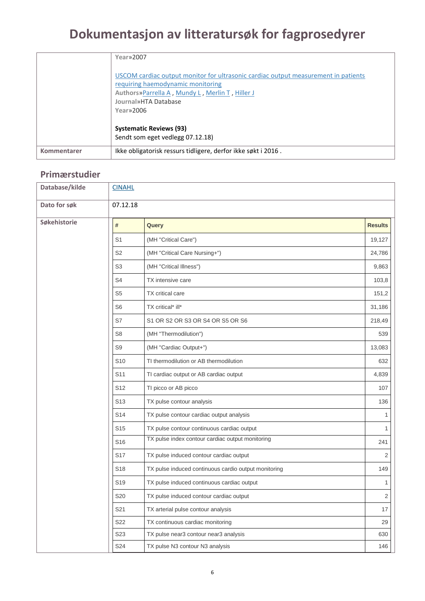|             | Year»2007                                                                                                                                                                                                        |
|-------------|------------------------------------------------------------------------------------------------------------------------------------------------------------------------------------------------------------------|
|             | USCOM cardiac output monitor for ultrasonic cardiac output measurement in patients<br>requiring haemodynamic monitoring<br>Authors» Parrella A, Mundy L, Merlin T, Hiller J<br>Journal»HTA Database<br>Year»2006 |
|             | <b>Systematic Reviews (93)</b><br>Sendt som eget vedlegg 07.12.18)                                                                                                                                               |
| Kommentarer | Ikke obligatorisk ressurs tidligere, derfor ikke søkt i 2016.                                                                                                                                                    |

#### **Primærstudier**

| Database/kilde | <b>CINAHL</b>   |                                                      |                |
|----------------|-----------------|------------------------------------------------------|----------------|
| Dato for søk   | 07.12.18        |                                                      |                |
| Søkehistorie   | #               | Query                                                | <b>Results</b> |
|                | S <sub>1</sub>  | (MH "Critical Care")                                 | 19,127         |
|                | S <sub>2</sub>  | (MH "Critical Care Nursing+")                        | 24,786         |
|                | S <sub>3</sub>  | (MH "Critical Illness")                              | 9,863          |
|                | S4              | TX intensive care                                    | 103,8          |
|                | S <sub>5</sub>  | <b>TX</b> critical care                              | 151,2          |
|                | S <sub>6</sub>  | TX critical* ill*                                    | 31,186         |
|                | S7              | S1 OR S2 OR S3 OR S4 OR S5 OR S6                     | 218,49         |
|                | S <sub>8</sub>  | (MH "Thermodilution")                                | 539            |
|                | S <sub>9</sub>  | (MH "Cardiac Output+")                               | 13,083         |
|                | S <sub>10</sub> | TI thermodilution or AB thermodilution               | 632            |
|                | S <sub>11</sub> | TI cardiac output or AB cardiac output               | 4,839          |
|                | S <sub>12</sub> | TI picco or AB picco                                 | 107            |
|                | S <sub>13</sub> | TX pulse contour analysis                            | 136            |
|                | S <sub>14</sub> | TX pulse contour cardiac output analysis             | 1              |
|                | S <sub>15</sub> | TX pulse contour continuous cardiac output           | $\mathbf{1}$   |
|                | S <sub>16</sub> | TX pulse index contour cardiac output monitoring     | 241            |
|                | S <sub>17</sub> | TX pulse induced contour cardiac output              | $\overline{2}$ |
|                | S <sub>18</sub> | TX pulse induced continuous cardio output monitoring | 149            |
|                | S <sub>19</sub> | TX pulse induced continuous cardiac output           | 1              |
|                | S20             | TX pulse induced contour cardiac output              | $\sqrt{2}$     |
|                | S21             | TX arterial pulse contour analysis                   | 17             |
|                | S22             | TX continuous cardiac monitoring                     | 29             |
|                | S23             | TX pulse near3 contour near3 analysis                | 630            |
|                | S24             | TX pulse N3 contour N3 analysis                      | 146            |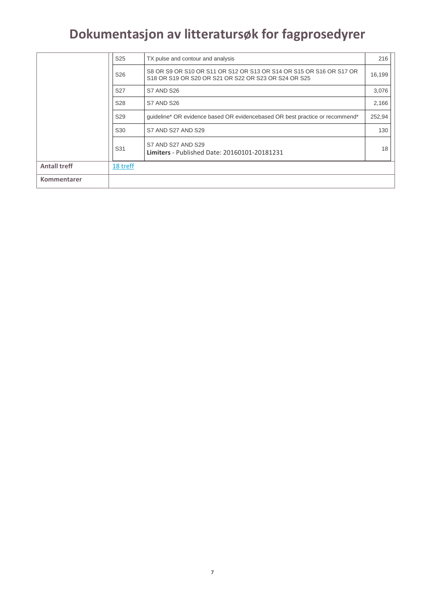|                     | S <sub>25</sub> | TX pulse and contour and analysis                                                                                           | 216    |
|---------------------|-----------------|-----------------------------------------------------------------------------------------------------------------------------|--------|
|                     | S <sub>26</sub> | S8 OR S9 OR S10 OR S11 OR S12 OR S13 OR S14 OR S15 OR S16 OR S17 OR<br>S18 OR S19 OR S20 OR S21 OR S22 OR S23 OR S24 OR S25 | 16,199 |
|                     | S <sub>27</sub> | S7 AND S26                                                                                                                  | 3,076  |
|                     | S <sub>28</sub> | S7 AND S26                                                                                                                  | 2,166  |
|                     | S <sub>29</sub> | quideline* OR evidence based OR evidencebased OR best practice or recommend*                                                | 252,94 |
|                     | S <sub>30</sub> | S7 AND S27 AND S29                                                                                                          | 130    |
|                     | S31             | S7 AND S27 AND S29<br>Limiters - Published Date: 20160101-20181231                                                          | 18     |
| <b>Antall treff</b> | 18 treff        |                                                                                                                             |        |
| Kommentarer         |                 |                                                                                                                             |        |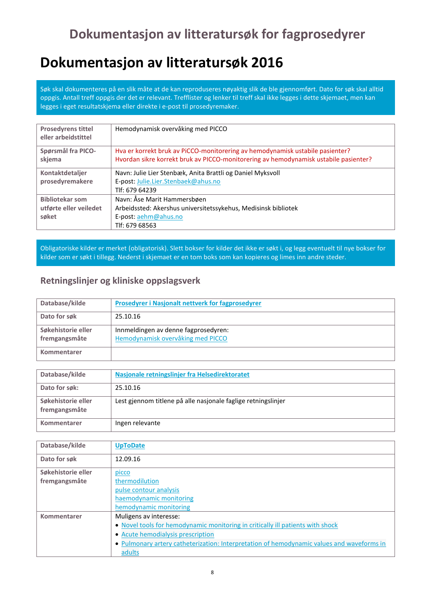#### **Dokumentasjon av litteratursøk 2016**

Søk skal dokumenteres på en slik måte at de kan reproduseres nøyaktig slik de ble gjennomført. Dato for søk skal alltid oppgis. Antall treff oppgis der det er relevant. Trefflister og lenker til treff skal ikke legges i dette skjemaet, men kan legges i eget resultatskjema eller direkte i e-post til prosedyremaker.

| <b>Prosedyrens tittel</b><br>eller arbeidstittel | Hemodynamisk overvåking med PICCO                                                    |
|--------------------------------------------------|--------------------------------------------------------------------------------------|
| Spørsmål fra PICO-                               | Hva er korrekt bruk av PiCCO-monitorering av hemodynamisk ustabile pasienter?        |
| skjema                                           | Hvordan sikre korrekt bruk av PICCO-monitorering av hemodynamisk ustabile pasienter? |
| Kontaktdetaljer                                  | Navn: Julie Lier Stenbæk, Anita Brattli og Daniel Myksvoll                           |
| prosedyremakere                                  | E-post: Julie.Lier.Stenbaek@ahus.no                                                  |
|                                                  | Tlf: 679 64239                                                                       |
| <b>Bibliotekar som</b>                           | Navn: Åse Marit Hammersbøen                                                          |
| utførte eller veiledet                           | Arbeidssted: Akershus universitetssykehus, Medisinsk bibliotek                       |
| søket                                            | E-post: aehm@ahus.no                                                                 |
|                                                  | Tlf: 679 68563                                                                       |

Obligatoriske kilder er merket (obligatorisk). Slett bokser for kilder det ikke er søkt i, og legg eventuelt til nye bokser for kilder som er søkt i tillegg. Nederst i skjemaet er en tom boks som kan kopieres og limes inn andre steder.

#### **Retningslinjer og kliniske oppslagsverk**

| Database/kilde     | Prosedyrer i Nasjonalt nettverk for fagprosedyrer |
|--------------------|---------------------------------------------------|
| Dato for søk       | 25.10.16                                          |
| Søkehistorie eller | Innmeldingen av denne fagprosedyren:              |
| fremgangsmåte      | Hemodynamisk overvåking med PICCO                 |
| Kommentarer        |                                                   |

| Database/kilde                      | Nasjonale retningslinjer fra Helsedirektoratet                |
|-------------------------------------|---------------------------------------------------------------|
| Dato for søk:                       | 25.10.16                                                      |
| Søkehistorie eller<br>fremgangsmåte | Lest gjennom titlene på alle nasjonale faglige retningslinjer |
| Kommentarer                         | Ingen relevante                                               |

| Database/kilde     | <b>UpToDate</b>                                                                           |
|--------------------|-------------------------------------------------------------------------------------------|
| Dato for søk       | 12.09.16                                                                                  |
| Søkehistorie eller | picco                                                                                     |
| fremgangsmåte      | thermodilution                                                                            |
|                    | pulse contour analysis                                                                    |
|                    | haemodynamic monitoring                                                                   |
|                    | hemodynamic monitoring                                                                    |
| Kommentarer        | Muligens av interesse:                                                                    |
|                    | . Novel tools for hemodynamic monitoring in critically ill patients with shock            |
|                    | • Acute hemodialysis prescription                                                         |
|                    | • Pulmonary artery catheterization: Interpretation of hemodynamic values and waveforms in |
|                    | adults                                                                                    |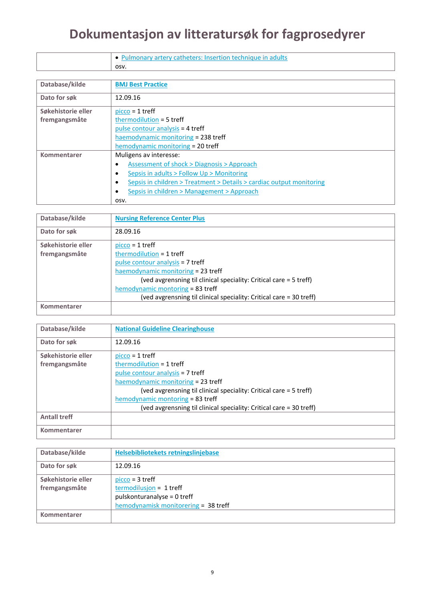| Pulmonary artery catheters: Insertion technique in adults |
|-----------------------------------------------------------|
| OSV.                                                      |

| Database/kilde     | <b>BMJ Best Practice</b>                                                          |  |  |
|--------------------|-----------------------------------------------------------------------------------|--|--|
|                    |                                                                                   |  |  |
| Dato for søk       | 12.09.16                                                                          |  |  |
|                    |                                                                                   |  |  |
| Søkehistorie eller | $picco = 1$ treff                                                                 |  |  |
| fremgangsmåte      | thermodilution = 5 treff                                                          |  |  |
|                    | pulse contour analysis = 4 treff                                                  |  |  |
|                    | haemodynamic monitoring = 238 treff                                               |  |  |
|                    | hemodynamic monitoring = 20 treff                                                 |  |  |
| Kommentarer        | Muligens av interesse:                                                            |  |  |
|                    | Assessment of shock > Diagnosis > Approach<br>$\bullet$                           |  |  |
|                    | Sepsis in adults > Follow Up > Monitoring<br>٠                                    |  |  |
|                    | Sepsis in children > Treatment > Details > cardiac output monitoring<br>$\bullet$ |  |  |
|                    | Sepsis in children > Management > Approach<br>$\bullet$                           |  |  |
|                    | OSV.                                                                              |  |  |

| Database/kilde     | <b>Nursing Reference Center Plus</b>                                |
|--------------------|---------------------------------------------------------------------|
| Dato for søk       | 28.09.16                                                            |
| Søkehistorie eller | $picco = 1$ treff                                                   |
| fremgangsmåte      | thermodilution = $1$ treff                                          |
|                    | pulse contour analysis = 7 treff                                    |
|                    | haemodynamic monitoring = 23 treff                                  |
|                    | (ved avgrensning til clinical speciality: Critical care = 5 treff)  |
|                    | hemodynamic montoring = 83 treff                                    |
|                    | (ved avgrensning til clinical speciality: Critical care = 30 treff) |
| Kommentarer        |                                                                     |
|                    |                                                                     |

| Database/kilde      | <b>National Guideline Clearinghouse</b>                             |
|---------------------|---------------------------------------------------------------------|
| Dato for søk        | 12.09.16                                                            |
| Søkehistorie eller  | $picco = 1$ treff                                                   |
| fremgangsmåte       | thermodilution = $1$ treff                                          |
|                     | pulse contour analysis = 7 treff                                    |
|                     | haemodynamic monitoring = 23 treff                                  |
|                     | (ved avgrensning til clinical speciality: Critical care = 5 treff)  |
|                     | hemodynamic montoring = 83 treff                                    |
|                     | (ved avgrensning til clinical speciality: Critical care = 30 treff) |
| <b>Antall treff</b> |                                                                     |
| Kommentarer         |                                                                     |

| Database/kilde     | Helsebibliotekets retningslinjebase  |
|--------------------|--------------------------------------|
| Dato for søk       | 12.09.16                             |
| Søkehistorie eller | $picco = 3$ treff                    |
| fremgangsmåte      | $termodilusjon = 1 treff$            |
|                    | pulskonturanalyse = 0 treff          |
|                    | hemodynamisk monitorering = 38 treff |
| Kommentarer        |                                      |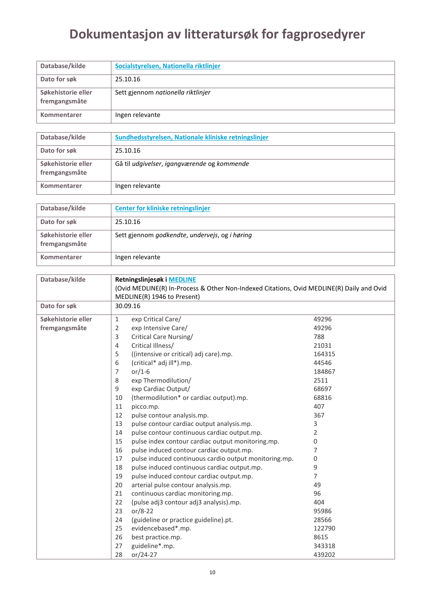| Database/kilde                      | Socialstyrelsen, Nationella riktlinjer |
|-------------------------------------|----------------------------------------|
| Dato for søk                        | 25.10.16                               |
| Søkehistorie eller<br>fremgangsmåte | Sett gjennom nationella riktlinjer     |
| Kommentarer                         | Ingen relevante                        |

| Database/kilde                      | Sundhedsstyrelsen, Nationale kliniske retningslinjer |
|-------------------------------------|------------------------------------------------------|
| Dato for søk                        | 25.10.16                                             |
| Søkehistorie eller<br>fremgangsmåte | Gå til udgivelser, igangværende og kommende          |
| Kommentarer                         | Ingen relevante                                      |

| Database/kilde                      | Center for kliniske retningslinjer             |
|-------------------------------------|------------------------------------------------|
| Dato for søk                        | 25.10.16                                       |
| Søkehistorie eller<br>fremgangsmåte | Sett gjennom godkendte, undervejs, og i høring |
| Kommentarer                         | Ingen relevante                                |

| Database/kilde     | Retningslinjesøk i MEDLINE<br>(Ovid MEDLINE(R) In-Process & Other Non-Indexed Citations, Ovid MEDLINE(R) Daily and Ovid<br>MEDLINE(R) 1946 to Present) |                |  |  |  |
|--------------------|--------------------------------------------------------------------------------------------------------------------------------------------------------|----------------|--|--|--|
| Dato for søk       | 30.09.16                                                                                                                                               |                |  |  |  |
| Søkehistorie eller | $\mathbf{1}$<br>exp Critical Care/                                                                                                                     | 49296          |  |  |  |
| fremgangsmåte      | exp Intensive Care/<br>2                                                                                                                               | 49296          |  |  |  |
|                    | 3<br>Critical Care Nursing/                                                                                                                            | 788            |  |  |  |
|                    | Critical Illness/<br>4                                                                                                                                 | 21031          |  |  |  |
|                    | ((intensive or critical) adj care).mp.<br>5                                                                                                            | 164315         |  |  |  |
|                    | 6<br>(critical* adj ill*).mp.                                                                                                                          | 44546          |  |  |  |
|                    | or/1-6<br>7                                                                                                                                            | 184867         |  |  |  |
|                    | 8<br>exp Thermodilution/                                                                                                                               | 2511           |  |  |  |
|                    | exp Cardiac Output/<br>9                                                                                                                               | 68697          |  |  |  |
|                    | (thermodilution* or cardiac output).mp.<br>10                                                                                                          | 68816          |  |  |  |
|                    | 11<br>picco.mp.                                                                                                                                        | 407            |  |  |  |
|                    | 12<br>pulse contour analysis.mp.                                                                                                                       | 367            |  |  |  |
|                    | pulse contour cardiac output analysis.mp.<br>13                                                                                                        | 3              |  |  |  |
|                    | pulse contour continuous cardiac output.mp.<br>14                                                                                                      | 2              |  |  |  |
|                    | 15<br>pulse index contour cardiac output monitoring.mp.                                                                                                | 0              |  |  |  |
|                    | 16<br>pulse induced contour cardiac output.mp.                                                                                                         | 7              |  |  |  |
|                    | 17<br>pulse induced continuous cardio output monitoring.mp.                                                                                            | 0              |  |  |  |
|                    | pulse induced continuous cardiac output.mp.<br>18                                                                                                      | 9              |  |  |  |
|                    | 19<br>pulse induced contour cardiac output.mp.                                                                                                         | $\overline{7}$ |  |  |  |
|                    | 20<br>arterial pulse contour analysis.mp.                                                                                                              | 49             |  |  |  |
|                    | continuous cardiac monitoring.mp.<br>21                                                                                                                | 96             |  |  |  |
|                    | 22<br>(pulse adj3 contour adj3 analysis).mp.                                                                                                           | 404            |  |  |  |
|                    | 23<br>$or/8-22$                                                                                                                                        | 95986          |  |  |  |
|                    | (guideline or practice guideline).pt.<br>24                                                                                                            | 28566          |  |  |  |
|                    | evidencebased*.mp.<br>25                                                                                                                               | 122790         |  |  |  |
|                    | 26<br>best practice.mp.                                                                                                                                | 8615           |  |  |  |
|                    | guideline*.mp.<br>27                                                                                                                                   | 343318         |  |  |  |
|                    | 28<br>or/24-27                                                                                                                                         | 439202         |  |  |  |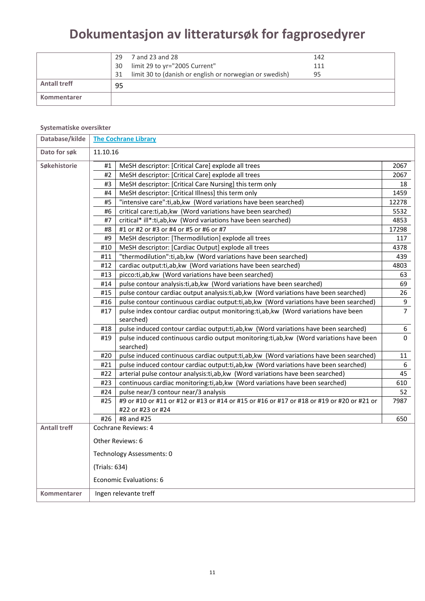|                     | 29 | 7 and 23 and 28                                         | 142 |  |
|---------------------|----|---------------------------------------------------------|-----|--|
|                     | 30 | limit 29 to yr="2005 Current"                           | 111 |  |
|                     | 31 | limit 30 to (danish or english or norwegian or swedish) | 95  |  |
| <b>Antall treff</b> | 95 |                                                         |     |  |
| Kommentarer         |    |                                                         |     |  |

#### **Systematiske oversikter**

| Database/kilde      | <b>The Cochrane Library</b>                                                                           |                                                                                                    |              |  |  |  |
|---------------------|-------------------------------------------------------------------------------------------------------|----------------------------------------------------------------------------------------------------|--------------|--|--|--|
| Dato for søk        |                                                                                                       | 11.10.16                                                                                           |              |  |  |  |
| Søkehistorie        | MeSH descriptor: [Critical Care] explode all trees<br>#1                                              |                                                                                                    |              |  |  |  |
|                     | #2                                                                                                    | MeSH descriptor: [Critical Care] explode all trees                                                 |              |  |  |  |
|                     | #3                                                                                                    | MeSH descriptor: [Critical Care Nursing] this term only                                            |              |  |  |  |
|                     | #4                                                                                                    | MeSH descriptor: [Critical Illness] this term only                                                 |              |  |  |  |
|                     | #5                                                                                                    | "intensive care":ti,ab,kw (Word variations have been searched)                                     | 12278        |  |  |  |
|                     | #6                                                                                                    | critical care:ti,ab, kw (Word variations have been searched)                                       | 5532         |  |  |  |
|                     | #7                                                                                                    | critical* ill*:ti,ab, kw (Word variations have been searched)                                      | 4853         |  |  |  |
|                     | #8                                                                                                    | #1 or #2 or #3 or #4 or #5 or #6 or #7                                                             | 17298        |  |  |  |
|                     | #9                                                                                                    | MeSH descriptor: [Thermodilution] explode all trees                                                | 117          |  |  |  |
|                     | #10                                                                                                   | MeSH descriptor: [Cardiac Output] explode all trees                                                | 4378         |  |  |  |
|                     | #11                                                                                                   | "thermodilution":ti,ab,kw (Word variations have been searched)                                     | 439          |  |  |  |
|                     | #12                                                                                                   | cardiac output: ti, ab, kw (Word variations have been searched)                                    | 4803         |  |  |  |
|                     | #13                                                                                                   | picco:ti,ab, kw (Word variations have been searched)                                               | 63           |  |  |  |
|                     | #14                                                                                                   | pulse contour analysis: ti, ab, kw (Word variations have been searched)                            | 69           |  |  |  |
|                     | #15                                                                                                   | pulse contour cardiac output analysis:ti,ab, kw (Word variations have been searched)               | 26           |  |  |  |
|                     | #16                                                                                                   | pulse contour continuous cardiac output:ti,ab,kw (Word variations have been searched)              |              |  |  |  |
|                     | #17<br>pulse index contour cardiac output monitoring:ti,ab,kw (Word variations have been<br>searched) |                                                                                                    |              |  |  |  |
|                     | #18                                                                                                   | pulse induced contour cardiac output:ti,ab,kw (Word variations have been searched)                 | 6            |  |  |  |
|                     | #19                                                                                                   | pulse induced continuous cardio output monitoring:ti,ab,kw (Word variations have been<br>searched) | $\mathbf{0}$ |  |  |  |
|                     | #20                                                                                                   | pulse induced continuous cardiac output:ti,ab,kw (Word variations have been searched)              | 11           |  |  |  |
|                     | #21                                                                                                   | pulse induced contour cardiac output:ti,ab,kw (Word variations have been searched)                 | 6            |  |  |  |
|                     | #22                                                                                                   | arterial pulse contour analysis: ti, ab, kw (Word variations have been searched)                   | 45           |  |  |  |
|                     | #23                                                                                                   | continuous cardiac monitoring: ti, ab, kw (Word variations have been searched)                     | 610          |  |  |  |
|                     | #24                                                                                                   | pulse near/3 contour near/3 analysis                                                               | 52           |  |  |  |
|                     | #25                                                                                                   | #9 or #10 or #11 or #12 or #13 or #14 or #15 or #16 or #17 or #18 or #19 or #20 or #21 or          | 7987         |  |  |  |
|                     |                                                                                                       | #22 or #23 or #24                                                                                  |              |  |  |  |
|                     | #26                                                                                                   | #8 and #25                                                                                         | 650          |  |  |  |
| <b>Antall treff</b> |                                                                                                       | Cochrane Reviews: 4                                                                                |              |  |  |  |
|                     |                                                                                                       | Other Reviews: 6                                                                                   |              |  |  |  |
|                     |                                                                                                       | Technology Assessments: 0                                                                          |              |  |  |  |
|                     | (Trials: 634)                                                                                         |                                                                                                    |              |  |  |  |
|                     |                                                                                                       | Economic Evaluations: 6                                                                            |              |  |  |  |
| Kommentarer         |                                                                                                       | Ingen relevante treff                                                                              |              |  |  |  |